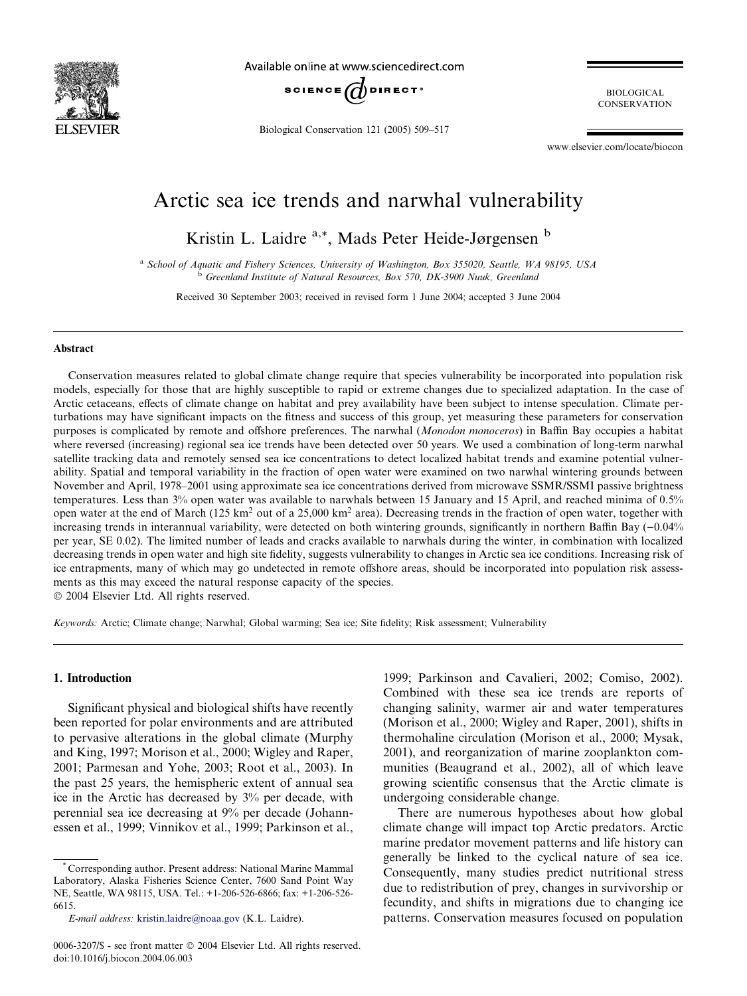

Available online at www.sciencedirect.com



Biological Conservation 121 (2005) 509–517

BIOLOGICAL **CONSERVATION** 

www.elsevier.com/locate/biocon

# Arctic sea ice trends and narwhal vulnerability

Kristin L. Laidre <sup>a,\*</sup>, Mads Peter Heide-Jørgensen b

<sup>a</sup> School of Aquatic and Fishery Sciences, University of Washington, Box 355020, Seattle, WA 98195, USA  $\delta$  Greenland Institute of Natural Resources, Box 570, DK-3900 Nuuk, Greenland

Received 30 September 2003; received in revised form 1 June 2004; accepted 3 June 2004

#### Abstract

Conservation measures related to global climate change require that species vulnerability be incorporated into population risk models, especially for those that are highly susceptible to rapid or extreme changes due to specialized adaptation. In the case of Arctic cetaceans, effects of climate change on habitat and prey availability have been subject to intense speculation. Climate perturbations may have significant impacts on the fitness and success of this group, yet measuring these parameters for conservation purposes is complicated by remote and offshore preferences. The narwhal (Monodon monoceros) in Baffin Bay occupies a habitat where reversed (increasing) regional sea ice trends have been detected over 50 years. We used a combination of long-term narwhal satellite tracking data and remotely sensed sea ice concentrations to detect localized habitat trends and examine potential vulnerability. Spatial and temporal variability in the fraction of open water were examined on two narwhal wintering grounds between November and April, 1978–2001 using approximate sea ice concentrations derived from microwave SSMR/SSMI passive brightness temperatures. Less than 3% open water was available to narwhals between 15 January and 15 April, and reached minima of 0.5% open water at the end of March (125 km<sup>2</sup> out of a 25,000 km<sup>2</sup> area). Decreasing trends in the fraction of open water, together with increasing trends in interannual variability, were detected on both wintering grounds, significantly in northern Baffin Bay  $(-0.04\%$ per year, SE 0.02). The limited number of leads and cracks available to narwhals during the winter, in combination with localized decreasing trends in open water and high site fidelity, suggests vulnerability to changes in Arctic sea ice conditions. Increasing risk of ice entrapments, many of which may go undetected in remote offshore areas, should be incorporated into population risk assessments as this may exceed the natural response capacity of the species.

2004 Elsevier Ltd. All rights reserved.

Keywords: Arctic; Climate change; Narwhal; Global warming; Sea ice; Site fidelity; Risk assessment; Vulnerability

## 1. Introduction

Significant physical and biological shifts have recently been reported for polar environments and are attributed to pervasive alterations in the global climate (Murphy and King, 1997; Morison et al., 2000; Wigley and Raper, 2001; Parmesan and Yohe, 2003; Root et al., 2003). In the past 25 years, the hemispheric extent of annual sea ice in the Arctic has decreased by 3% per decade, with perennial sea ice decreasing at 9% per decade (Johannessen et al., 1999; Vinnikov et al., 1999; Parkinson et al.,

1999; Parkinson and Cavalieri, 2002; Comiso, 2002). Combined with these sea ice trends are reports of changing salinity, warmer air and water temperatures (Morison et al., 2000; Wigley and Raper, 2001), shifts in thermohaline circulation (Morison et al., 2000; Mysak, 2001), and reorganization of marine zooplankton communities (Beaugrand et al., 2002), all of which leave growing scientific consensus that the Arctic climate is undergoing considerable change.

There are numerous hypotheses about how global climate change will impact top Arctic predators. Arctic marine predator movement patterns and life history can generally be linked to the cyclical nature of sea ice. Consequently, many studies predict nutritional stress due to redistribution of prey, changes in survivorship or fecundity, and shifts in migrations due to changing ice patterns. Conservation measures focused on population

<sup>\*</sup> Corresponding author. Present address: National Marine Mammal Laboratory, Alaska Fisheries Science Center, 7600 Sand Point Way NE, Seattle, WA 98115, USA. Tel.: +1-206-526-6866; fax: +1-206-526- 6615.

E-mail address: [kristin.laidre@noaa.gov](mail to: kristin.laidre@noaa.gov) (K.L. Laidre).

<sup>0006-3207/\$ -</sup> see front matter  $\odot$  2004 Elsevier Ltd. All rights reserved. doi:10.1016/j.biocon.2004.06.003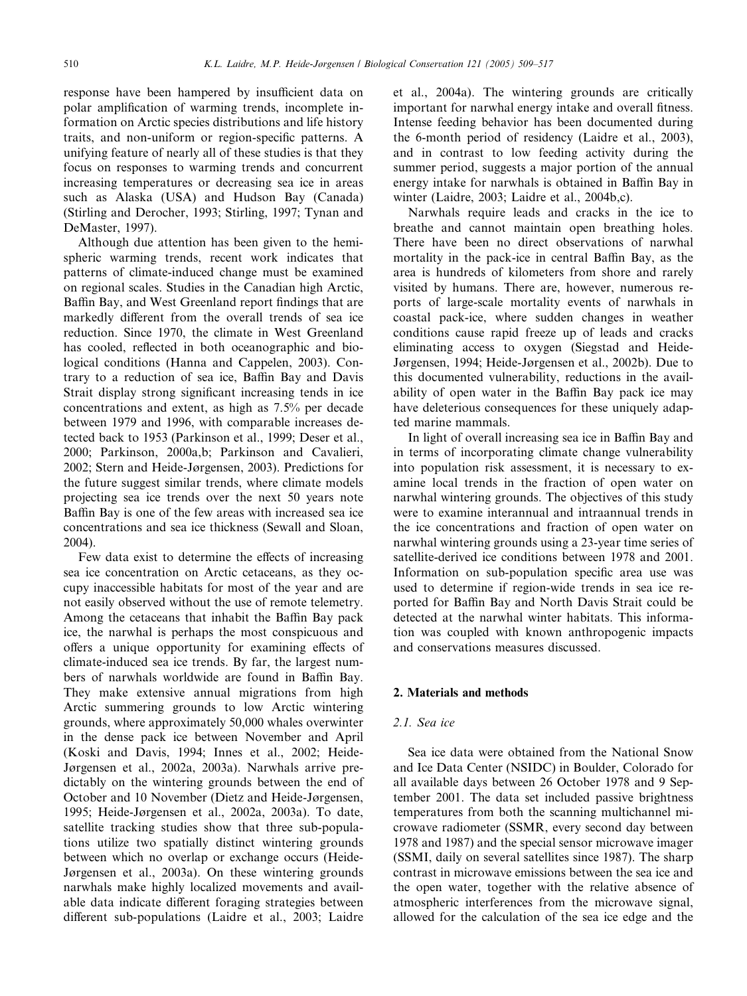response have been hampered by insufficient data on polar amplification of warming trends, incomplete information on Arctic species distributions and life history traits, and non-uniform or region-specific patterns. A unifying feature of nearly all of these studies is that they focus on responses to warming trends and concurrent increasing temperatures or decreasing sea ice in areas such as Alaska (USA) and Hudson Bay (Canada) (Stirling and Derocher, 1993; Stirling, 1997; Tynan and DeMaster, 1997).

Although due attention has been given to the hemispheric warming trends, recent work indicates that patterns of climate-induced change must be examined on regional scales. Studies in the Canadian high Arctic, Baffin Bay, and West Greenland report findings that are markedly different from the overall trends of sea ice reduction. Since 1970, the climate in West Greenland has cooled, reflected in both oceanographic and biological conditions (Hanna and Cappelen, 2003). Contrary to a reduction of sea ice, Baffin Bay and Davis Strait display strong significant increasing tends in ice concentrations and extent, as high as 7.5% per decade between 1979 and 1996, with comparable increases detected back to 1953 (Parkinson et al., 1999; Deser et al., 2000; Parkinson, 2000a,b; Parkinson and Cavalieri, 2002; Stern and Heide-Jørgensen, 2003). Predictions for the future suggest similar trends, where climate models projecting sea ice trends over the next 50 years note Baffin Bay is one of the few areas with increased sea ice concentrations and sea ice thickness (Sewall and Sloan, 2004).

Few data exist to determine the effects of increasing sea ice concentration on Arctic cetaceans, as they occupy inaccessible habitats for most of the year and are not easily observed without the use of remote telemetry. Among the cetaceans that inhabit the Baffin Bay pack ice, the narwhal is perhaps the most conspicuous and offers a unique opportunity for examining effects of climate-induced sea ice trends. By far, the largest numbers of narwhals worldwide are found in Baffin Bay. They make extensive annual migrations from high Arctic summering grounds to low Arctic wintering grounds, where approximately 50,000 whales overwinter in the dense pack ice between November and April (Koski and Davis, 1994; Innes et al., 2002; Heide-Jørgensen et al., 2002a, 2003a). Narwhals arrive predictably on the wintering grounds between the end of October and 10 November (Dietz and Heide-Jørgensen, 1995; Heide-Jørgensen et al., 2002a, 2003a). To date, satellite tracking studies show that three sub-populations utilize two spatially distinct wintering grounds between which no overlap or exchange occurs (Heide-Jørgensen et al., 2003a). On these wintering grounds narwhals make highly localized movements and available data indicate different foraging strategies between different sub-populations (Laidre et al., 2003; Laidre

et al., 2004a). The wintering grounds are critically important for narwhal energy intake and overall fitness. Intense feeding behavior has been documented during the 6-month period of residency (Laidre et al., 2003), and in contrast to low feeding activity during the summer period, suggests a major portion of the annual energy intake for narwhals is obtained in Baffin Bay in winter (Laidre, 2003; Laidre et al., 2004b,c).

Narwhals require leads and cracks in the ice to breathe and cannot maintain open breathing holes. There have been no direct observations of narwhal mortality in the pack-ice in central Baffin Bay, as the area is hundreds of kilometers from shore and rarely visited by humans. There are, however, numerous reports of large-scale mortality events of narwhals in coastal pack-ice, where sudden changes in weather conditions cause rapid freeze up of leads and cracks eliminating access to oxygen (Siegstad and Heide-Jørgensen, 1994; Heide-Jørgensen et al., 2002b). Due to this documented vulnerability, reductions in the availability of open water in the Baffin Bay pack ice may have deleterious consequences for these uniquely adapted marine mammals.

In light of overall increasing sea ice in Baffin Bay and in terms of incorporating climate change vulnerability into population risk assessment, it is necessary to examine local trends in the fraction of open water on narwhal wintering grounds. The objectives of this study were to examine interannual and intraannual trends in the ice concentrations and fraction of open water on narwhal wintering grounds using a 23-year time series of satellite-derived ice conditions between 1978 and 2001. Information on sub-population specific area use was used to determine if region-wide trends in sea ice reported for Baffin Bay and North Davis Strait could be detected at the narwhal winter habitats. This information was coupled with known anthropogenic impacts and conservations measures discussed.

## 2. Materials and methods

### 2.1. Sea ice

Sea ice data were obtained from the National Snow and Ice Data Center (NSIDC) in Boulder, Colorado for all available days between 26 October 1978 and 9 September 2001. The data set included passive brightness temperatures from both the scanning multichannel microwave radiometer (SSMR, every second day between 1978 and 1987) and the special sensor microwave imager (SSMI, daily on several satellites since 1987). The sharp contrast in microwave emissions between the sea ice and the open water, together with the relative absence of atmospheric interferences from the microwave signal, allowed for the calculation of the sea ice edge and the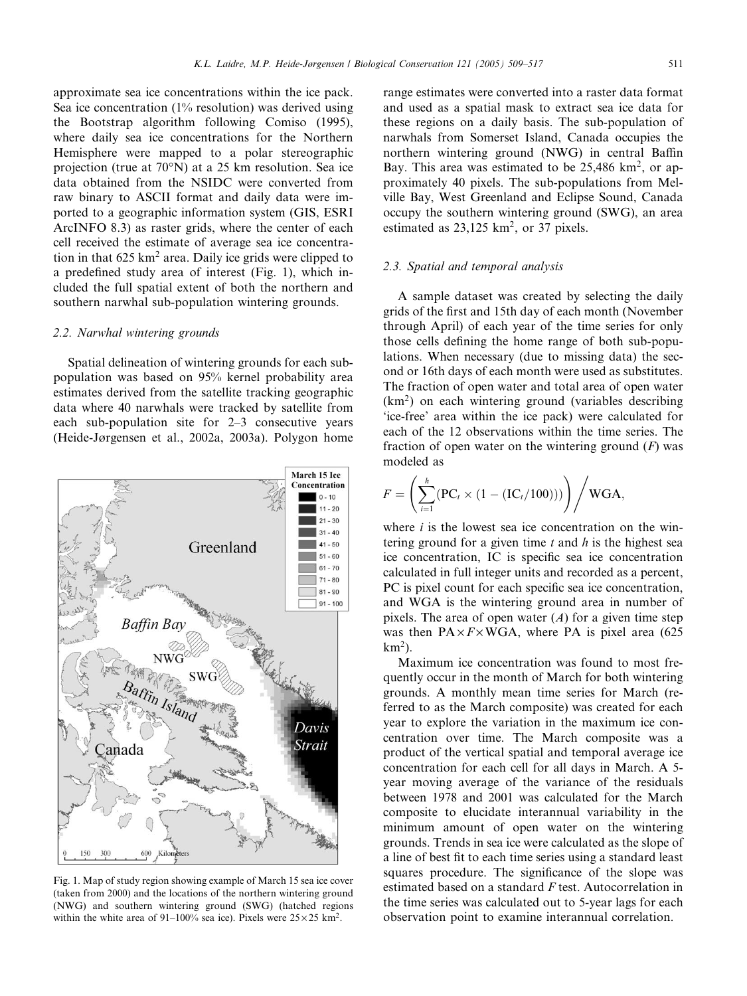approximate sea ice concentrations within the ice pack. Sea ice concentration (1% resolution) was derived using the Bootstrap algorithm following Comiso (1995), where daily sea ice concentrations for the Northern Hemisphere were mapped to a polar stereographic projection (true at 70°N) at a 25 km resolution. Sea ice data obtained from the NSIDC were converted from raw binary to ASCII format and daily data were imported to a geographic information system (GIS, ESRI ArcINFO 8.3) as raster grids, where the center of each cell received the estimate of average sea ice concentration in that  $625 \text{ km}^2$  area. Daily ice grids were clipped to a predefined study area of interest (Fig. 1), which included the full spatial extent of both the northern and southern narwhal sub-population wintering grounds.

## 2.2. Narwhal wintering grounds

Spatial delineation of wintering grounds for each subpopulation was based on 95% kernel probability area estimates derived from the satellite tracking geographic data where 40 narwhals were tracked by satellite from each sub-population site for 2–3 consecutive years (Heide-Jørgensen et al., 2002a, 2003a). Polygon home



Fig. 1. Map of study region showing example of March 15 sea ice cover (taken from 2000) and the locations of the northern wintering ground (NWG) and southern wintering ground (SWG) (hatched regions within the white area of 91–100% sea ice). Pixels were  $25 \times 25$  km<sup>2</sup>.

range estimates were converted into a raster data format and used as a spatial mask to extract sea ice data for these regions on a daily basis. The sub-population of narwhals from Somerset Island, Canada occupies the northern wintering ground (NWG) in central Baffin Bay. This area was estimated to be  $25,486 \text{ km}^2$ , or approximately 40 pixels. The sub-populations from Melville Bay, West Greenland and Eclipse Sound, Canada occupy the southern wintering ground (SWG), an area estimated as  $23.125 \text{ km}^2$ , or 37 pixels.

# 2.3. Spatial and temporal analysis

A sample dataset was created by selecting the daily grids of the first and 15th day of each month (November through April) of each year of the time series for only those cells defining the home range of both sub-populations. When necessary (due to missing data) the second or 16th days of each month were used as substitutes. The fraction of open water and total area of open water  $(km<sup>2</sup>)$  on each wintering ground (variables describing 'ice-free' area within the ice pack) were calculated for each of the 12 observations within the time series. The fraction of open water on the wintering ground  $(F)$  was modeled as

$$
F = \left(\sum_{i=1}^{h} (\mathbf{PC}_{t} \times (1 - (\mathbf{IC}_{t}/100)))\right) / \mathbf{WGA},
$$

where  $i$  is the lowest sea ice concentration on the wintering ground for a given time  $t$  and  $h$  is the highest sea ice concentration, IC is specific sea ice concentration calculated in full integer units and recorded as a percent, PC is pixel count for each specific sea ice concentration, and WGA is the wintering ground area in number of pixels. The area of open water  $(A)$  for a given time step was then  $PA \times F \times WGA$ , where PA is pixel area (625)  $km<sup>2</sup>$ ).

Maximum ice concentration was found to most frequently occur in the month of March for both wintering grounds. A monthly mean time series for March (referred to as the March composite) was created for each year to explore the variation in the maximum ice concentration over time. The March composite was a product of the vertical spatial and temporal average ice concentration for each cell for all days in March. A 5 year moving average of the variance of the residuals between 1978 and 2001 was calculated for the March composite to elucidate interannual variability in the minimum amount of open water on the wintering grounds. Trends in sea ice were calculated as the slope of a line of best fit to each time series using a standard least squares procedure. The significance of the slope was estimated based on a standard F test. Autocorrelation in the time series was calculated out to 5-year lags for each observation point to examine interannual correlation.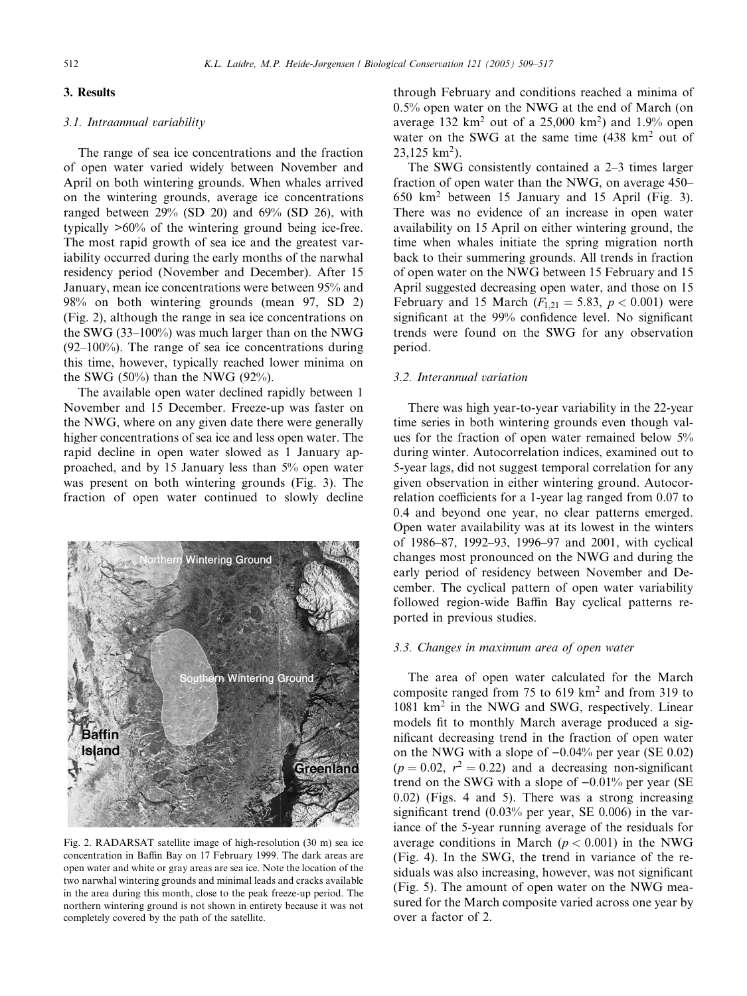# 3. Results

# 3.1. Intraannual variability

The range of sea ice concentrations and the fraction of open water varied widely between November and April on both wintering grounds. When whales arrived on the wintering grounds, average ice concentrations ranged between 29% (SD 20) and 69% (SD 26), with typically >60% of the wintering ground being ice-free. The most rapid growth of sea ice and the greatest variability occurred during the early months of the narwhal residency period (November and December). After 15 January, mean ice concentrations were between 95% and 98% on both wintering grounds (mean 97, SD 2) (Fig. 2), although the range in sea ice concentrations on the SWG (33–100%) was much larger than on the NWG  $(92-100\%)$ . The range of sea ice concentrations during this time, however, typically reached lower minima on the SWG  $(50\%)$  than the NWG  $(92\%)$ .

The available open water declined rapidly between 1 November and 15 December. Freeze-up was faster on the NWG, where on any given date there were generally higher concentrations of sea ice and less open water. The rapid decline in open water slowed as 1 January approached, and by 15 January less than 5% open water was present on both wintering grounds (Fig. 3). The fraction of open water continued to slowly decline



Fig. 2. RADARSAT satellite image of high-resolution (30 m) sea ice concentration in Baffin Bay on 17 February 1999. The dark areas are open water and white or gray areas are sea ice. Note the location of the two narwhal wintering grounds and minimal leads and cracks available in the area during this month, close to the peak freeze-up period. The northern wintering ground is not shown in entirety because it was not completely covered by the path of the satellite.

through February and conditions reached a minima of 0.5% open water on the NWG at the end of March (on average 132 km<sup>2</sup> out of a 25,000 km<sup>2</sup>) and 1.9% open water on the SWG at the same time  $(438 \text{ km}^2 \text{ out of}$  $23.125$  km<sup>2</sup>).

The SWG consistently contained a 2–3 times larger fraction of open water than the NWG, on average 450– 650 km<sup>2</sup> between 15 January and 15 April (Fig. 3). There was no evidence of an increase in open water availability on 15 April on either wintering ground, the time when whales initiate the spring migration north back to their summering grounds. All trends in fraction of open water on the NWG between 15 February and 15 April suggested decreasing open water, and those on 15 February and 15 March  $(F_{1,21} = 5.83, p < 0.001)$  were significant at the 99% confidence level. No significant trends were found on the SWG for any observation period.

## 3.2. Interannual variation

There was high year-to-year variability in the 22-year time series in both wintering grounds even though values for the fraction of open water remained below 5% during winter. Autocorrelation indices, examined out to 5-year lags, did not suggest temporal correlation for any given observation in either wintering ground. Autocorrelation coefficients for a 1-year lag ranged from 0.07 to 0.4 and beyond one year, no clear patterns emerged. Open water availability was at its lowest in the winters of 1986–87, 1992–93, 1996–97 and 2001, with cyclical changes most pronounced on the NWG and during the early period of residency between November and December. The cyclical pattern of open water variability followed region-wide Baffin Bay cyclical patterns reported in previous studies.

## 3.3. Changes in maximum area of open water

The area of open water calculated for the March composite ranged from 75 to 619 km<sup>2</sup> and from 319 to 1081 km<sup>2</sup> in the NWG and SWG, respectively. Linear models fit to monthly March average produced a significant decreasing trend in the fraction of open water on the NWG with a slope of  $-0.04\%$  per year (SE 0.02)  $(p = 0.02, r^2 = 0.22)$  and a decreasing non-significant trend on the SWG with a slope of  $-0.01\%$  per year (SE 0.02) (Figs. 4 and 5). There was a strong increasing significant trend (0.03% per year, SE 0.006) in the variance of the 5-year running average of the residuals for average conditions in March ( $p < 0.001$ ) in the NWG (Fig. 4). In the SWG, the trend in variance of the residuals was also increasing, however, was not significant (Fig. 5). The amount of open water on the NWG measured for the March composite varied across one year by over a factor of 2.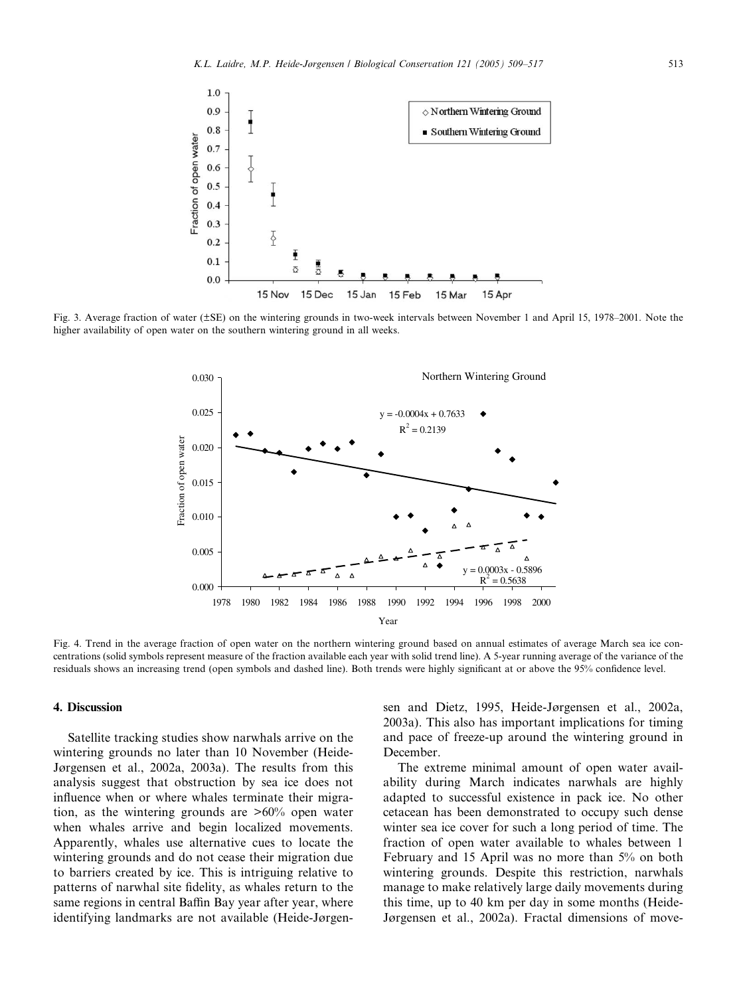

Fig. 3. Average fraction of water (±SE) on the wintering grounds in two-week intervals between November 1 and April 15, 1978–2001. Note the higher availability of open water on the southern wintering ground in all weeks.



Fig. 4. Trend in the average fraction of open water on the northern wintering ground based on annual estimates of average March sea ice concentrations (solid symbols represent measure of the fraction available each year with solid trend line). A 5-year running average of the variance of the residuals shows an increasing trend (open symbols and dashed line). Both trends were highly significant at or above the 95% confidence level.

## 4. Discussion

Satellite tracking studies show narwhals arrive on the wintering grounds no later than 10 November (Heide-Jørgensen et al., 2002a, 2003a). The results from this analysis suggest that obstruction by sea ice does not influence when or where whales terminate their migration, as the wintering grounds are >60% open water when whales arrive and begin localized movements. Apparently, whales use alternative cues to locate the wintering grounds and do not cease their migration due to barriers created by ice. This is intriguing relative to patterns of narwhal site fidelity, as whales return to the same regions in central Baffin Bay year after year, where identifying landmarks are not available (Heide-Jørgensen and Dietz, 1995, Heide-Jørgensen et al., 2002a, 2003a). This also has important implications for timing and pace of freeze-up around the wintering ground in December.

The extreme minimal amount of open water availability during March indicates narwhals are highly adapted to successful existence in pack ice. No other cetacean has been demonstrated to occupy such dense winter sea ice cover for such a long period of time. The fraction of open water available to whales between 1 February and 15 April was no more than 5% on both wintering grounds. Despite this restriction, narwhals manage to make relatively large daily movements during this time, up to 40 km per day in some months (Heide-Jørgensen et al., 2002a). Fractal dimensions of move-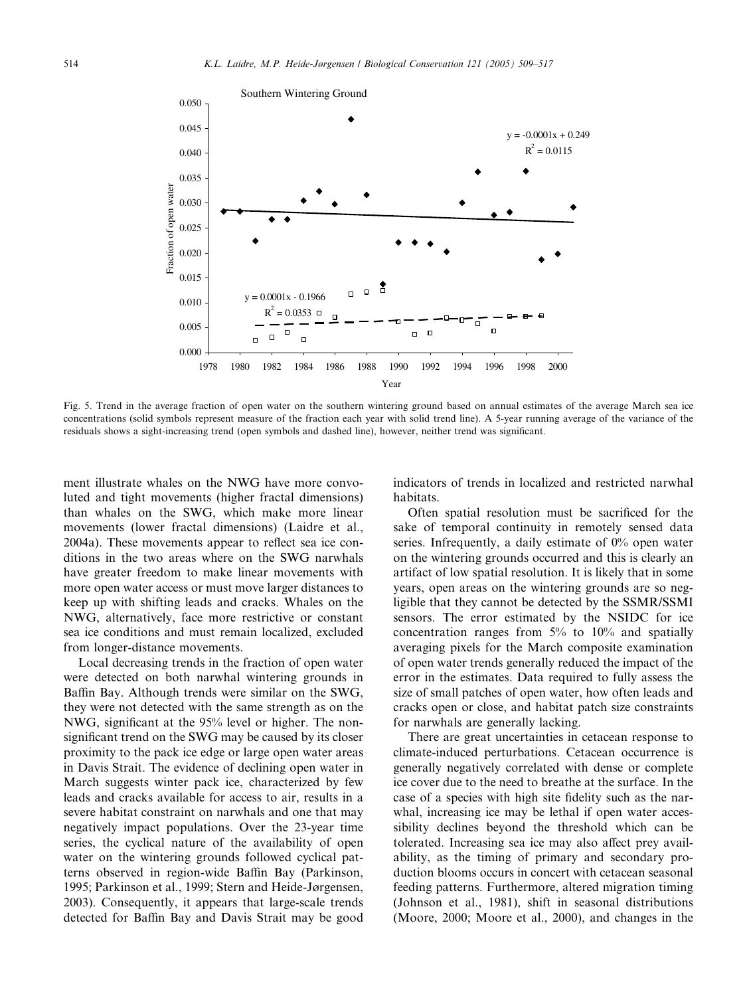

Fig. 5. Trend in the average fraction of open water on the southern wintering ground based on annual estimates of the average March sea ice concentrations (solid symbols represent measure of the fraction each year with solid trend line). A 5-year running average of the variance of the residuals shows a sight-increasing trend (open symbols and dashed line), however, neither trend was significant.

ment illustrate whales on the NWG have more convoluted and tight movements (higher fractal dimensions) than whales on the SWG, which make more linear movements (lower fractal dimensions) (Laidre et al., 2004a). These movements appear to reflect sea ice conditions in the two areas where on the SWG narwhals have greater freedom to make linear movements with more open water access or must move larger distances to keep up with shifting leads and cracks. Whales on the NWG, alternatively, face more restrictive or constant sea ice conditions and must remain localized, excluded from longer-distance movements.

Local decreasing trends in the fraction of open water were detected on both narwhal wintering grounds in Baffin Bay. Although trends were similar on the SWG, they were not detected with the same strength as on the NWG, significant at the 95% level or higher. The nonsignificant trend on the SWG may be caused by its closer proximity to the pack ice edge or large open water areas in Davis Strait. The evidence of declining open water in March suggests winter pack ice, characterized by few leads and cracks available for access to air, results in a severe habitat constraint on narwhals and one that may negatively impact populations. Over the 23-year time series, the cyclical nature of the availability of open water on the wintering grounds followed cyclical patterns observed in region-wide Baffin Bay (Parkinson, 1995; Parkinson et al., 1999; Stern and Heide-Jørgensen, 2003). Consequently, it appears that large-scale trends detected for Baffin Bay and Davis Strait may be good indicators of trends in localized and restricted narwhal habitats.

Often spatial resolution must be sacrificed for the sake of temporal continuity in remotely sensed data series. Infrequently, a daily estimate of 0% open water on the wintering grounds occurred and this is clearly an artifact of low spatial resolution. It is likely that in some years, open areas on the wintering grounds are so negligible that they cannot be detected by the SSMR/SSMI sensors. The error estimated by the NSIDC for ice concentration ranges from 5% to 10% and spatially averaging pixels for the March composite examination of open water trends generally reduced the impact of the error in the estimates. Data required to fully assess the size of small patches of open water, how often leads and cracks open or close, and habitat patch size constraints for narwhals are generally lacking.

There are great uncertainties in cetacean response to climate-induced perturbations. Cetacean occurrence is generally negatively correlated with dense or complete ice cover due to the need to breathe at the surface. In the case of a species with high site fidelity such as the narwhal, increasing ice may be lethal if open water accessibility declines beyond the threshold which can be tolerated. Increasing sea ice may also affect prey availability, as the timing of primary and secondary production blooms occurs in concert with cetacean seasonal feeding patterns. Furthermore, altered migration timing (Johnson et al., 1981), shift in seasonal distributions (Moore, 2000; Moore et al., 2000), and changes in the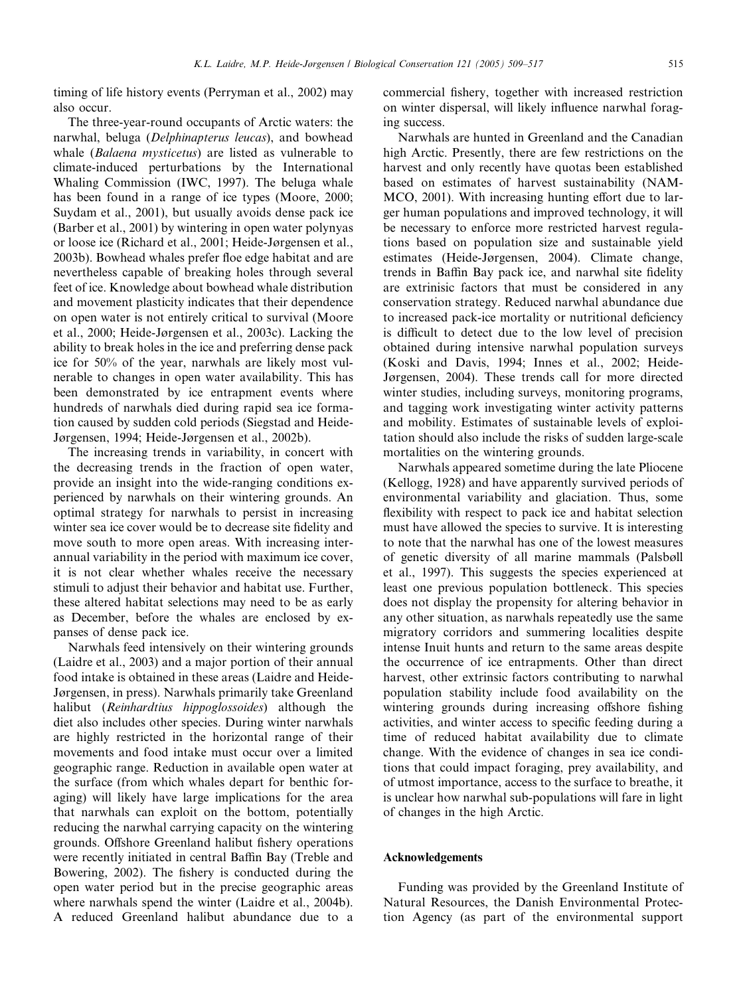timing of life history events (Perryman et al., 2002) may also occur.

The three-year-round occupants of Arctic waters: the narwhal, beluga (Delphinapterus leucas), and bowhead whale (Balaena mysticetus) are listed as vulnerable to climate-induced perturbations by the International Whaling Commission (IWC, 1997). The beluga whale has been found in a range of ice types (Moore, 2000; Suydam et al., 2001), but usually avoids dense pack ice (Barber et al., 2001) by wintering in open water polynyas or loose ice (Richard et al., 2001; Heide-Jørgensen et al., 2003b). Bowhead whales prefer floe edge habitat and are nevertheless capable of breaking holes through several feet of ice. Knowledge about bowhead whale distribution and movement plasticity indicates that their dependence on open water is not entirely critical to survival (Moore et al., 2000; Heide-Jørgensen et al., 2003c). Lacking the ability to break holes in the ice and preferring dense pack ice for 50% of the year, narwhals are likely most vulnerable to changes in open water availability. This has been demonstrated by ice entrapment events where hundreds of narwhals died during rapid sea ice formation caused by sudden cold periods (Siegstad and Heide-Jørgensen, 1994; Heide-Jørgensen et al., 2002b).

The increasing trends in variability, in concert with the decreasing trends in the fraction of open water, provide an insight into the wide-ranging conditions experienced by narwhals on their wintering grounds. An optimal strategy for narwhals to persist in increasing winter sea ice cover would be to decrease site fidelity and move south to more open areas. With increasing interannual variability in the period with maximum ice cover, it is not clear whether whales receive the necessary stimuli to adjust their behavior and habitat use. Further, these altered habitat selections may need to be as early as December, before the whales are enclosed by expanses of dense pack ice.

Narwhals feed intensively on their wintering grounds (Laidre et al., 2003) and a major portion of their annual food intake is obtained in these areas (Laidre and Heide-Jørgensen, in press). Narwhals primarily take Greenland halibut (Reinhardtius hippoglossoides) although the diet also includes other species. During winter narwhals are highly restricted in the horizontal range of their movements and food intake must occur over a limited geographic range. Reduction in available open water at the surface (from which whales depart for benthic foraging) will likely have large implications for the area that narwhals can exploit on the bottom, potentially reducing the narwhal carrying capacity on the wintering grounds. Offshore Greenland halibut fishery operations were recently initiated in central Baffin Bay (Treble and Bowering, 2002). The fishery is conducted during the open water period but in the precise geographic areas where narwhals spend the winter (Laidre et al., 2004b). A reduced Greenland halibut abundance due to a

commercial fishery, together with increased restriction on winter dispersal, will likely influence narwhal foraging success.

Narwhals are hunted in Greenland and the Canadian high Arctic. Presently, there are few restrictions on the harvest and only recently have quotas been established based on estimates of harvest sustainability (NAM-MCO, 2001). With increasing hunting effort due to larger human populations and improved technology, it will be necessary to enforce more restricted harvest regulations based on population size and sustainable yield estimates (Heide-Jørgensen, 2004). Climate change, trends in Baffin Bay pack ice, and narwhal site fidelity are extrinisic factors that must be considered in any conservation strategy. Reduced narwhal abundance due to increased pack-ice mortality or nutritional deficiency is difficult to detect due to the low level of precision obtained during intensive narwhal population surveys (Koski and Davis, 1994; Innes et al., 2002; Heide-Jørgensen, 2004). These trends call for more directed winter studies, including surveys, monitoring programs, and tagging work investigating winter activity patterns and mobility. Estimates of sustainable levels of exploitation should also include the risks of sudden large-scale mortalities on the wintering grounds.

Narwhals appeared sometime during the late Pliocene (Kellogg, 1928) and have apparently survived periods of environmental variability and glaciation. Thus, some flexibility with respect to pack ice and habitat selection must have allowed the species to survive. It is interesting to note that the narwhal has one of the lowest measures of genetic diversity of all marine mammals (Palsbøll et al., 1997). This suggests the species experienced at least one previous population bottleneck. This species does not display the propensity for altering behavior in any other situation, as narwhals repeatedly use the same migratory corridors and summering localities despite intense Inuit hunts and return to the same areas despite the occurrence of ice entrapments. Other than direct harvest, other extrinsic factors contributing to narwhal population stability include food availability on the wintering grounds during increasing offshore fishing activities, and winter access to specific feeding during a time of reduced habitat availability due to climate change. With the evidence of changes in sea ice conditions that could impact foraging, prey availability, and of utmost importance, access to the surface to breathe, it is unclear how narwhal sub-populations will fare in light of changes in the high Arctic.

# Acknowledgements

Funding was provided by the Greenland Institute of Natural Resources, the Danish Environmental Protection Agency (as part of the environmental support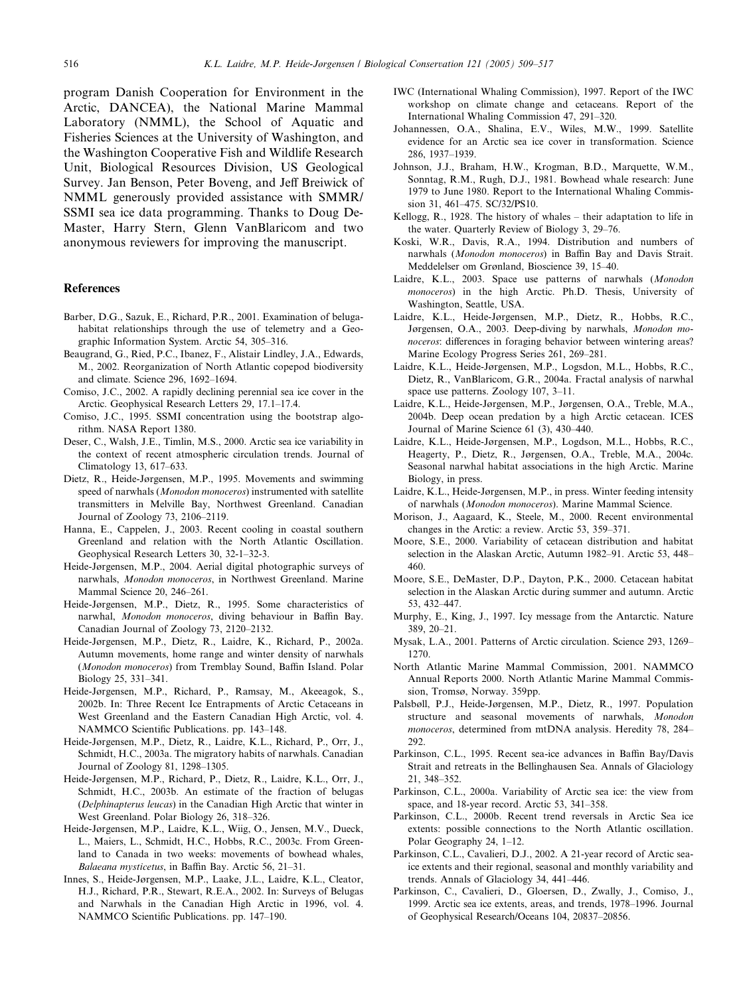program Danish Cooperation for Environment in the Arctic, DANCEA), the National Marine Mammal Laboratory (NMML), the School of Aquatic and Fisheries Sciences at the University of Washington, and the Washington Cooperative Fish and Wildlife Research Unit, Biological Resources Division, US Geological Survey. Jan Benson, Peter Boveng, and Jeff Breiwick of NMML generously provided assistance with SMMR/ SSMI sea ice data programming. Thanks to Doug De-Master, Harry Stern, Glenn VanBlaricom and two anonymous reviewers for improving the manuscript.

## References

- Barber, D.G., Sazuk, E., Richard, P.R., 2001. Examination of belugahabitat relationships through the use of telemetry and a Geographic Information System. Arctic 54, 305–316.
- Beaugrand, G., Ried, P.C., Ibanez, F., Alistair Lindley, J.A., Edwards, M., 2002. Reorganization of North Atlantic copepod biodiversity and climate. Science 296, 1692–1694.
- Comiso, J.C., 2002. A rapidly declining perennial sea ice cover in the Arctic. Geophysical Research Letters 29, 17.1–17.4.
- Comiso, J.C., 1995. SSMI concentration using the bootstrap algorithm. NASA Report 1380.
- Deser, C., Walsh, J.E., Timlin, M.S., 2000. Arctic sea ice variability in the context of recent atmospheric circulation trends. Journal of Climatology 13, 617–633.
- Dietz, R., Heide-Jørgensen, M.P., 1995. Movements and swimming speed of narwhals (Monodon monoceros) instrumented with satellite transmitters in Melville Bay, Northwest Greenland. Canadian Journal of Zoology 73, 2106–2119.
- Hanna, E., Cappelen, J., 2003. Recent cooling in coastal southern Greenland and relation with the North Atlantic Oscillation. Geophysical Research Letters 30, 32-1–32-3.
- Heide-Jørgensen, M.P., 2004. Aerial digital photographic surveys of narwhals, Monodon monoceros, in Northwest Greenland. Marine Mammal Science 20, 246–261.
- Heide-Jørgensen, M.P., Dietz, R., 1995. Some characteristics of narwhal, Monodon monoceros, diving behaviour in Baffin Bay. Canadian Journal of Zoology 73, 2120–2132.
- Heide-Jørgensen, M.P., Dietz, R., Laidre, K., Richard, P., 2002a. Autumn movements, home range and winter density of narwhals (Monodon monoceros) from Tremblay Sound, Baffin Island. Polar Biology 25, 331–341.
- Heide-Jørgensen, M.P., Richard, P., Ramsay, M., Akeeagok, S., 2002b. In: Three Recent Ice Entrapments of Arctic Cetaceans in West Greenland and the Eastern Canadian High Arctic, vol. 4. NAMMCO Scientific Publications. pp. 143–148.
- Heide-Jørgensen, M.P., Dietz, R., Laidre, K.L., Richard, P., Orr, J., Schmidt, H.C., 2003a. The migratory habits of narwhals. Canadian Journal of Zoology 81, 1298–1305.
- Heide-Jørgensen, M.P., Richard, P., Dietz, R., Laidre, K.L., Orr, J., Schmidt, H.C., 2003b. An estimate of the fraction of belugas (Delphinapterus leucas) in the Canadian High Arctic that winter in West Greenland. Polar Biology 26, 318–326.
- Heide-Jørgensen, M.P., Laidre, K.L., Wiig, O., Jensen, M.V., Dueck, L., Maiers, L., Schmidt, H.C., Hobbs, R.C., 2003c. From Greenland to Canada in two weeks: movements of bowhead whales, Balaeana mysticetus, in Baffin Bay. Arctic 56, 21–31.
- Innes, S., Heide-Jørgensen, M.P., Laake, J.L., Laidre, K.L., Cleator, H.J., Richard, P.R., Stewart, R.E.A., 2002. In: Surveys of Belugas and Narwhals in the Canadian High Arctic in 1996, vol. 4. NAMMCO Scientific Publications. pp. 147–190.
- IWC (International Whaling Commission), 1997. Report of the IWC workshop on climate change and cetaceans. Report of the International Whaling Commission 47, 291–320.
- Johannessen, O.A., Shalina, E.V., Wiles, M.W., 1999. Satellite evidence for an Arctic sea ice cover in transformation. Science 286, 1937–1939.
- Johnson, J.J., Braham, H.W., Krogman, B.D., Marquette, W.M., Sonntag, R.M., Rugh, D.J., 1981. Bowhead whale research: June 1979 to June 1980. Report to the International Whaling Commission 31, 461–475. SC/32/PS10.
- Kellogg, R., 1928. The history of whales their adaptation to life in the water. Quarterly Review of Biology 3, 29–76.
- Koski, W.R., Davis, R.A., 1994. Distribution and numbers of narwhals (Monodon monoceros) in Baffin Bay and Davis Strait. Meddelelser om Grønland, Bioscience 39, 15–40.
- Laidre, K.L., 2003. Space use patterns of narwhals (Monodon monoceros) in the high Arctic. Ph.D. Thesis, University of Washington, Seattle, USA.
- Laidre, K.L., Heide-Jørgensen, M.P., Dietz, R., Hobbs, R.C., Jørgensen, O.A., 2003. Deep-diving by narwhals, Monodon monoceros: differences in foraging behavior between wintering areas? Marine Ecology Progress Series 261, 269–281.
- Laidre, K.L., Heide-Jørgensen, M.P., Logsdon, M.L., Hobbs, R.C., Dietz, R., VanBlaricom, G.R., 2004a. Fractal analysis of narwhal space use patterns. Zoology 107, 3–11.
- Laidre, K.L., Heide-Jørgensen, M.P., Jørgensen, O.A., Treble, M.A., 2004b. Deep ocean predation by a high Arctic cetacean. ICES Journal of Marine Science 61 (3), 430–440.
- Laidre, K.L., Heide-Jørgensen, M.P., Logdson, M.L., Hobbs, R.C., Heagerty, P., Dietz, R., Jørgensen, O.A., Treble, M.A., 2004c. Seasonal narwhal habitat associations in the high Arctic. Marine Biology, in press.
- Laidre, K.L., Heide-Jørgensen, M.P., in press. Winter feeding intensity of narwhals (Monodon monoceros). Marine Mammal Science.
- Morison, J., Aagaard, K., Steele, M., 2000. Recent environmental changes in the Arctic: a review. Arctic 53, 359–371.
- Moore, S.E., 2000. Variability of cetacean distribution and habitat selection in the Alaskan Arctic, Autumn 1982–91. Arctic 53, 448– 460.
- Moore, S.E., DeMaster, D.P., Dayton, P.K., 2000. Cetacean habitat selection in the Alaskan Arctic during summer and autumn. Arctic 53, 432–447.
- Murphy, E., King, J., 1997. Icy message from the Antarctic. Nature 389, 20–21.
- Mysak, L.A., 2001. Patterns of Arctic circulation. Science 293, 1269– 1270.
- North Atlantic Marine Mammal Commission, 2001. NAMMCO Annual Reports 2000. North Atlantic Marine Mammal Commission, Tromsø, Norway. 359pp.
- Palsbøll, P.J., Heide-Jørgensen, M.P., Dietz, R., 1997. Population structure and seasonal movements of narwhals, Monodon monoceros, determined from mtDNA analysis. Heredity 78, 284– 292.
- Parkinson, C.L., 1995. Recent sea-ice advances in Baffin Bay/Davis Strait and retreats in the Bellinghausen Sea. Annals of Glaciology 21, 348–352.
- Parkinson, C.L., 2000a. Variability of Arctic sea ice: the view from space, and 18-year record. Arctic 53, 341–358.
- Parkinson, C.L., 2000b. Recent trend reversals in Arctic Sea ice extents: possible connections to the North Atlantic oscillation. Polar Geography 24, 1–12.
- Parkinson, C.L., Cavalieri, D.J., 2002. A 21-year record of Arctic seaice extents and their regional, seasonal and monthly variability and trends. Annals of Glaciology 34, 441–446.
- Parkinson, C., Cavalieri, D., Gloersen, D., Zwally, J., Comiso, J., 1999. Arctic sea ice extents, areas, and trends, 1978–1996. Journal of Geophysical Research/Oceans 104, 20837–20856.